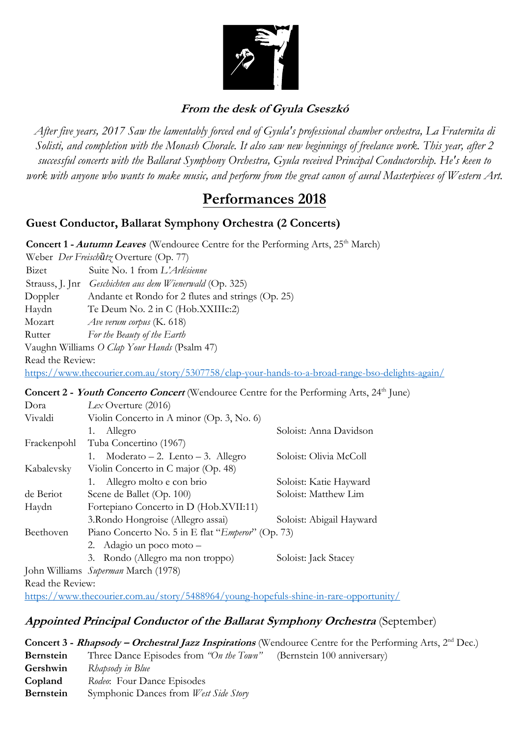

# **From the desk of Gyula Cseszkó**

*After five years, 2017 Saw the lamentably forced end of Gyula's professional chamber orchestra, La Fraternita di Solisti, and completion with the Monash Chorale. It also saw new beginnings of freelance work. This year, after 2 successful concerts with the Ballarat Symphony Orchestra, Gyula received Principal Conductorship. He's keen to work with anyone who wants to make music, and perform from the great canon of aural Masterpieces of Western Art.* 

# **Performances 2018**

## **Guest Conductor, Ballarat Symphony Orchestra (2 Concerts)**

**Concert 1 - Autumn Leaves** (Wendouree Centre for the Performing Arts, 25<sup>th</sup> March) Weber *Der Freischȕtz* Overture (Op. 77) Bizet Suite No. 1 from *L'Arlésienne* Strauss, J. Jnr *Geschichten aus dem Wienerwald* (Op. 325) Doppler Andante et Rondo for 2 flutes and strings (Op. 25) Haydn Te Deum No. 2 in C (Hob.XXIIIc:2) Mozart *Ave verum corpus* (K. 618) Rutter *For the Beauty of the Earth*  Vaughn Williams *O Clap Your Hands* (Psalm 47) Read the Review: https://www.thecourier.com.au/story/5307758/clap-your-hands-to-a-broad-range-bso-delights-again/

#### **Concert 2 - Youth Concerto Concert** [\(Wendouree Centre for the Performing Arts, 24](https://www.thecourier.com.au/story/5307758/clap-your-hands-to-a-broad-range-bso-delights-again/)<sup>th</sup> June)

| Dora             | $Lex$ Overture (2016)                                      |                          |  |
|------------------|------------------------------------------------------------|--------------------------|--|
| Vivaldi          | Violin Concerto in A minor (Op. 3, No. 6)                  |                          |  |
|                  | Allegro<br>1.                                              | Soloist: Anna Davidson   |  |
| Frackenpohl      | Tuba Concertino (1967)                                     |                          |  |
|                  | $Moderno-2$ . Lento - 3. Allegro<br>1.                     | Soloist: Olivia McColl   |  |
| Kabalevsky       | Violin Concerto in C major (Op. 48)                        |                          |  |
|                  | 1. Allegro molto e con brio                                | Soloist: Katie Hayward   |  |
| de Beriot        | Scene de Ballet (Op. 100)                                  | Soloist: Matthew Lim     |  |
| Haydn            | Fortepiano Concerto in D (Hob.XVII:11)                     |                          |  |
|                  | 3. Rondo Hongroise (Allegro assai)                         | Soloist: Abigail Hayward |  |
| Beethoven        | Piano Concerto No. 5 in E flat " <i>Emperor</i> " (Op. 73) |                          |  |
|                  | 2. Adagio un poco moto –                                   |                          |  |
|                  | 3. Rondo (Allegro ma non troppo)                           | Soloist: Jack Stacey     |  |
|                  | John Williams Superman March (1978)                        |                          |  |
| Read the Review: |                                                            |                          |  |

https://www.thecourier.com.au/story/5488964/young-hopefuls-shine-in-rare-opportunity/

## [A](https://www.thecourier.com.au/story/5488964/young-hopefuls-shine-in-rare-opportunity/)ppo[i](https://www.thecourier.com.au/story/5488964/young-hopefuls-shine-in-rare-opportunity/)nte[d](https://www.thecourier.com.au/story/5488964/young-hopefuls-shine-in-rare-opportunity/) [P](https://www.thecourier.com.au/story/5488964/young-hopefuls-shine-in-rare-opportunity/)rincipa[l](https://www.thecourier.com.au/story/5488964/young-hopefuls-shine-in-rare-opportunity/) [C](https://www.thecourier.com.au/story/5488964/young-hopefuls-shine-in-rare-opportunity/)onductor o[f](https://www.thecourier.com.au/story/5488964/young-hopefuls-shine-in-rare-opportunity/) t[h](https://www.thecourier.com.au/story/5488964/young-hopefuls-shine-in-rare-opportunity/)e [B](https://www.thecourier.com.au/story/5488964/young-hopefuls-shine-in-rare-opportunity/)a[ll](https://www.thecourier.com.au/story/5488964/young-hopefuls-shine-in-rare-opportunity/)arat [S](https://www.thecourier.com.au/story/5488964/young-hopefuls-shine-in-rare-opportunity/)ymphony [O](https://www.thecourier.com.au/story/5488964/young-hopefuls-shine-in-rare-opportunity/)rchestra (September)

|                  |                                                                     | <b>Concert 3 - Rhapsody – Orchestral Jazz Inspirations</b> (Wendouree Centre for the Performing Arts, $2^{nd}$ Dec.) |
|------------------|---------------------------------------------------------------------|----------------------------------------------------------------------------------------------------------------------|
| Bernstein        | Three Dance Episodes from "On the Town" (Bernstein 100 anniversary) |                                                                                                                      |
| Gershwin         | Rhapsody in Blue                                                    |                                                                                                                      |
| Copland          | Rodeo: Four Dance Episodes                                          |                                                                                                                      |
| <b>Bernstein</b> | Symphonic Dances from West Side Story                               |                                                                                                                      |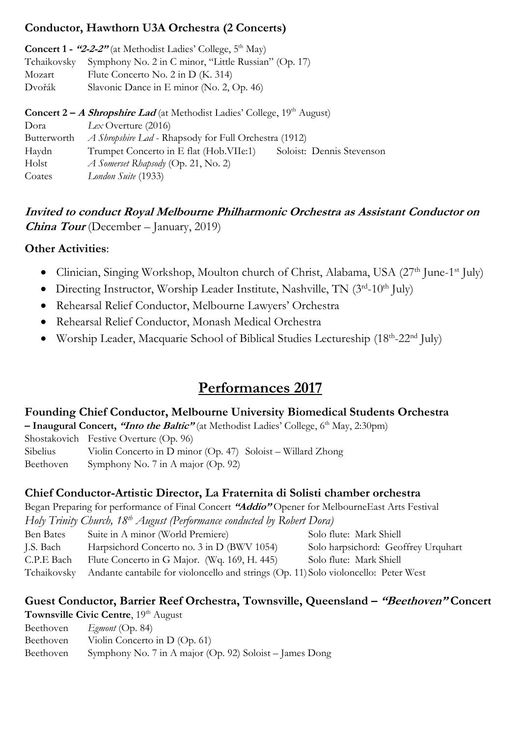## **Conductor, Hawthorn U3A Orchestra (2 Concerts)**

**Concert 1 - "2-2-2"** (at Methodist Ladies' College, 5<sup>th</sup> May) Tchaikovsky Symphony No. 2 in C minor, "Little Russian" (Op. 17) Mozart Flute Concerto No. 2 in D (K. 314) Dvořák Slavonic Dance in E minor (No. 2, Op. 46)

| <b>Concert 2 – A Shropshire Lad</b> (at Methodist Ladies' College, $19th$ August) |                                                              |                           |  |  |
|-----------------------------------------------------------------------------------|--------------------------------------------------------------|---------------------------|--|--|
| Dora                                                                              | $Lex$ Overture (2016)                                        |                           |  |  |
| Butterworth                                                                       | <i>A Shropshire Lad</i> - Rhapsody for Full Orchestra (1912) |                           |  |  |
| Haydn                                                                             | Trumpet Concerto in E flat (Hob.VIIe:1)                      | Soloist: Dennis Stevenson |  |  |
| Holst                                                                             | $\Lambda$ Somerset Rhapsody (Op. 21, No. 2)                  |                           |  |  |
| Coates                                                                            | London Suite (1933)                                          |                           |  |  |

# **Invited to conduct Royal Melbourne Philharmonic Orchestra as Assistant Conductor on China Tour** (December – January, 2019)

## **Other Activities**:

- Clinician, Singing Workshop, Moulton church of Christ, Alabama, USA (27<sup>th</sup> June-1<sup>st</sup> July)
- Directing Instructor, Worship Leader Institute, Nashville, TN (3rd-10th July)
- Rehearsal Relief Conductor, Melbourne Lawyers' Orchestra
- Rehearsal Relief Conductor, Monash Medical Orchestra
- Worship Leader, Macquarie School of Biblical Studies Lectureship (18<sup>th</sup>-22<sup>nd</sup> July)

# **Performances 2017**

#### **Founding Chief Conductor, Melbourne University Biomedical Students Orchestra**

**– Inaugural Concert, "Into the Baltic"** (at Methodist Ladies' College, 6 th May, 2:30pm)

Shostakovich Festive Overture (Op. 96)

Sibelius Violin Concerto in D minor (Op. 47) Soloist – Willard Zhong

Beethoven Symphony No. 7 in A major (Op. 92)

## **Chief Conductor-Artistic Director, La Fraternita di Solisti chamber orchestra**

Began Preparing for performance of Final Concert **"Addio"** Opener for MelbourneEast Arts Festival

*Holy Trinity Church, 18th August (Performance conducted by Robert Dora)*

Ben Bates Suite in A minor (World Premiere) Solo flute: Mark Shiell J.S. Bach Harpsichord Concerto no. 3 in D (BWV 1054) Solo harpsichord: Geoffrey Urquhart

C.P.E Bach Flute Concerto in G Major. (Wq. 169, H. 445) Solo flute: Mark Shiell

Tchaikovsky Andante cantabile for violoncello and strings (Op. 11) Solo violoncello: Peter West

### **Guest Conductor, Barrier Reef Orchestra, Townsville, Queensland – "Beethoven" Concert Townsville Civic Centre**, 19<sup>th</sup> August

Beethoven *Egmont* (Op. 84)

- Beethoven Violin Concerto in D (Op. 61)
- Beethoven Symphony No. 7 in A major (Op. 92) Soloist James Dong